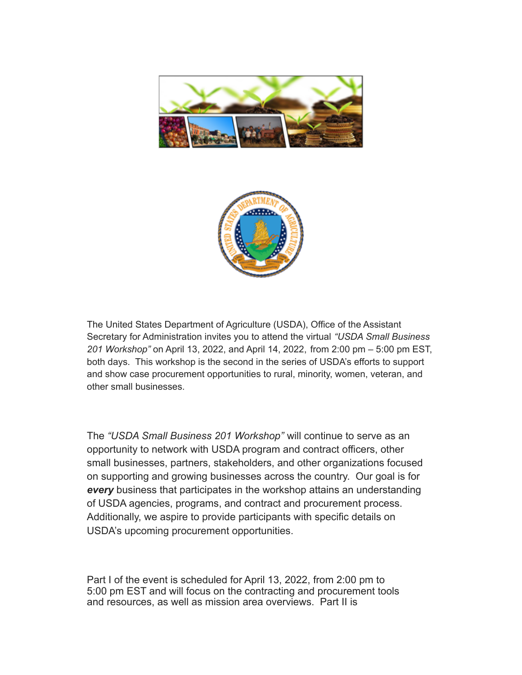



The United States Department of Agriculture (USDA), Office of the Assistant Secretary for Administration invites you to attend the virtual *"USDA Small Business 201 Workshop"* on April 13, 2022, and April 14, 2022, from 2:00 pm – 5:00 pm EST, both days. This workshop is the second in the series of USDA's efforts to support and show case procurement opportunities to rural, minority, women, veteran, and other small businesses.

The *"USDA Small Business 201 Workshop"* will continue to serve as an opportunity to network with USDA program and contract officers, other small businesses, partners, stakeholders, and other organizations focused on supporting and growing businesses across the country. Our goal is for *every* business that participates in the workshop attains an understanding of USDA agencies, programs, and contract and procurement process. Additionally, we aspire to provide participants with specific details on USDA's upcoming procurement opportunities.

Part I of the event is scheduled for April 13, 2022, from 2:00 pm to 5:00 pm EST and will focus on the contracting and procurement tools and resources, as well as mission area overviews. Part II is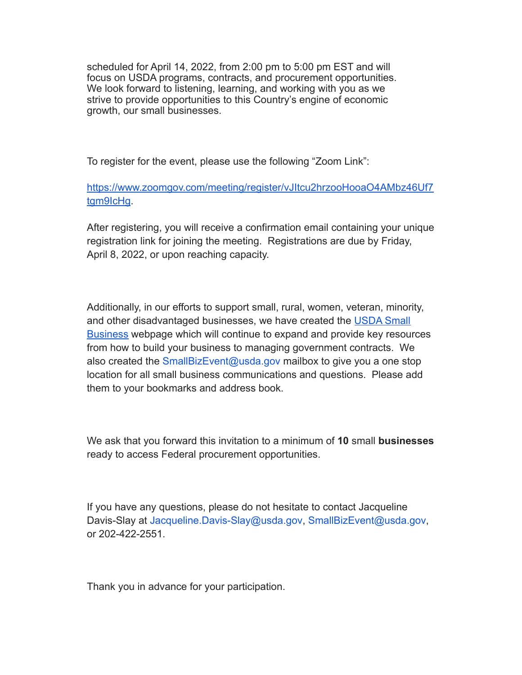scheduled for April 14, 2022, from 2:00 pm to 5:00 pm EST and will focus on USDA programs, contracts, and procurement opportunities. We look forward to listening, learning, and working with you as we strive to provide opportunities to this Country's engine of economic growth, our small businesses.

To register for the event, please use the following "Zoom Link":

[https://www.zoomgov.com/meeting/register/vJItcu2hrzooHooaO4AMbz46Uf7](https://nam04.safelinks.protection.outlook.com/?url=https%3A%2F%2Fwww.zoomgov.com%2Fmeeting%2Fregister%2FvJItcu2hrzooHooaO4AMbz46Uf7tgm9IcHg&data=04%7C01%7Cdataya.resenois%40bison.howard.edu%7C4266d3842b964a1bead508da19ccdba2%7C02ac0c07b75f46bf9b133630ba94bb69%7C0%7C0%7C637850664886666820%7CUnknown%7CTWFpbGZsb3d8eyJWIjoiMC4wLjAwMDAiLCJQIjoiV2luMzIiLCJBTiI6Ik1haWwiLCJXVCI6Mn0%3D%7C3000&sdata=Jlh%2FP8cK1odbeAAjXc57Aqp859ibaiW9hx7mrR7x1ao%3D&reserved=0) [tgm9IcHg](https://nam04.safelinks.protection.outlook.com/?url=https%3A%2F%2Fwww.zoomgov.com%2Fmeeting%2Fregister%2FvJItcu2hrzooHooaO4AMbz46Uf7tgm9IcHg&data=04%7C01%7Cdataya.resenois%40bison.howard.edu%7C4266d3842b964a1bead508da19ccdba2%7C02ac0c07b75f46bf9b133630ba94bb69%7C0%7C0%7C637850664886666820%7CUnknown%7CTWFpbGZsb3d8eyJWIjoiMC4wLjAwMDAiLCJQIjoiV2luMzIiLCJBTiI6Ik1haWwiLCJXVCI6Mn0%3D%7C3000&sdata=Jlh%2FP8cK1odbeAAjXc57Aqp859ibaiW9hx7mrR7x1ao%3D&reserved=0).

After registering, you will receive a confirmation email containing your unique registration link for joining the meeting. Registrations are due by Friday, April 8, 2022, or upon reaching capacity.

Additionally, in our efforts to support small, rural, women, veteran, minority, and other disadvantaged businesses, we have created the [USDA Small](https://nam04.safelinks.protection.outlook.com/?url=https%3A%2F%2Fwww.usda.gov%2Fsmallbiz&data=04%7C01%7Cdataya.resenois%40bison.howard.edu%7C4266d3842b964a1bead508da19ccdba2%7C02ac0c07b75f46bf9b133630ba94bb69%7C0%7C0%7C637850664886666820%7CUnknown%7CTWFpbGZsb3d8eyJWIjoiMC4wLjAwMDAiLCJQIjoiV2luMzIiLCJBTiI6Ik1haWwiLCJXVCI6Mn0%3D%7C3000&sdata=nHmtfDFcDrVbsQeWKKTYOZPewh%2F2OIQuierfE29FNbU%3D&reserved=0) [Business](https://nam04.safelinks.protection.outlook.com/?url=https%3A%2F%2Fwww.usda.gov%2Fsmallbiz&data=04%7C01%7Cdataya.resenois%40bison.howard.edu%7C4266d3842b964a1bead508da19ccdba2%7C02ac0c07b75f46bf9b133630ba94bb69%7C0%7C0%7C637850664886666820%7CUnknown%7CTWFpbGZsb3d8eyJWIjoiMC4wLjAwMDAiLCJQIjoiV2luMzIiLCJBTiI6Ik1haWwiLCJXVCI6Mn0%3D%7C3000&sdata=nHmtfDFcDrVbsQeWKKTYOZPewh%2F2OIQuierfE29FNbU%3D&reserved=0) webpage which will continue to expand and provide key resources from how to build your business to managing government contracts. We also created the SmallBizEvent@usda.gov mailbox to give you a one stop location for all small business communications and questions. Please add them to your bookmarks and address book.

We ask that you forward this invitation to a minimum of **10** small **businesses** ready to access Federal procurement opportunities.

If you have any questions, please do not hesitate to contact Jacqueline Davis-Slay at Jacqueline.Davis-Slay@usda.gov, SmallBizEvent@usda.gov, or 202-422-2551.

Thank you in advance for your participation.